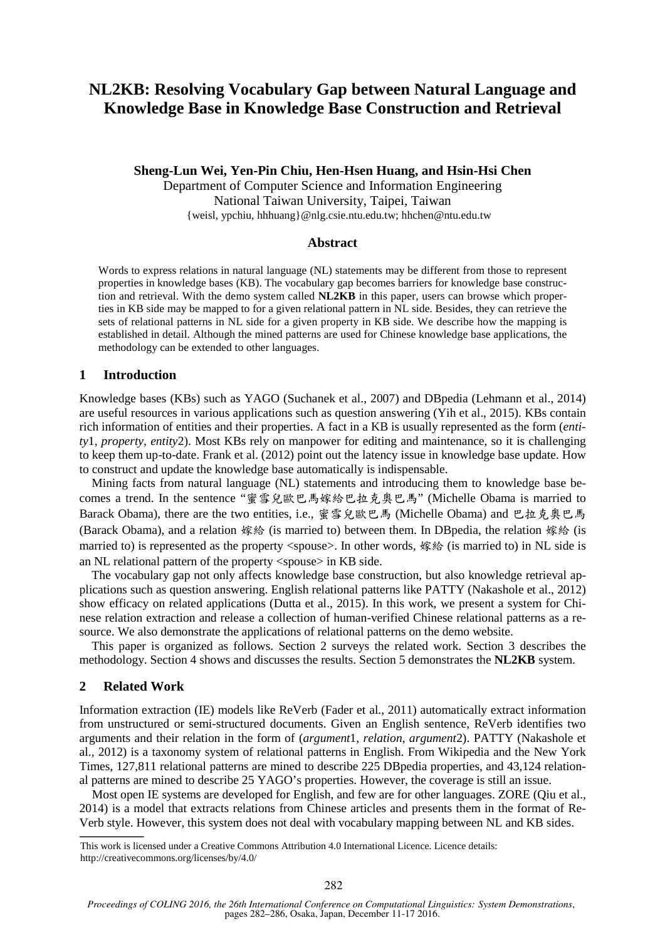# **NL2KB: Resolving Vocabulary Gap between Natural Language and Knowledge Base in Knowledge Base Construction and Retrieval**

**Sheng-Lun Wei, Yen-Pin Chiu, Hen-Hsen Huang, and Hsin-Hsi Chen** 

Department of Computer Science and Information Engineering National Taiwan University, Taipei, Taiwan {weisl, ypchiu, hhhuang}@nlg.csie.ntu.edu.tw; hhchen@ntu.edu.tw

#### **Abstract**

Words to express relations in natural language (NL) statements may be different from those to represent properties in knowledge bases (KB). The vocabulary gap becomes barriers for knowledge base construction and retrieval. With the demo system called **NL2KB** in this paper, users can browse which properties in KB side may be mapped to for a given relational pattern in NL side. Besides, they can retrieve the sets of relational patterns in NL side for a given property in KB side. We describe how the mapping is established in detail. Although the mined patterns are used for Chinese knowledge base applications, the methodology can be extended to other languages.

#### **1 Introduction**

Knowledge bases (KBs) such as YAGO (Suchanek et al., 2007) and DBpedia (Lehmann et al., 2014) are useful resources in various applications such as question answering (Yih et al., 2015). KBs contain rich information of entities and their properties. A fact in a KB is usually represented as the form (*entity*1, *property*, *entity*2). Most KBs rely on manpower for editing and maintenance, so it is challenging to keep them up-to-date. Frank et al. (2012) point out the latency issue in knowledge base update. How to construct and update the knowledge base automatically is indispensable.

Mining facts from natural language (NL) statements and introducing them to knowledge base becomes a trend. In the sentence "蜜雪兒歐巴馬嫁給巴拉克奧巴馬" (Michelle Obama is married to Barack Obama), there are the two entities, i.e., 蜜雪兒歐巴馬 (Michelle Obama) and 巴拉克奧巴馬 (Barack Obama), and a relation 嫁給 (is married to) between them. In DBpedia, the relation 嫁給 (is married to) is represented as the property <spouse>. In other words, 嫁給 (is married to) in NL side is an NL relational pattern of the property <spouse> in KB side.

The vocabulary gap not only affects knowledge base construction, but also knowledge retrieval applications such as question answering. English relational patterns like PATTY (Nakashole et al., 2012) show efficacy on related applications (Dutta et al., 2015). In this work, we present a system for Chinese relation extraction and release a collection of human-verified Chinese relational patterns as a resource. We also demonstrate the applications of relational patterns on the demo website.

This paper is organized as follows. Section 2 surveys the related work. Section 3 describes the methodology. Section 4 shows and discusses the results. Section 5 demonstrates the **NL2KB** system.

#### **2 Related Work**

Information extraction (IE) models like ReVerb (Fader et al., 2011) automatically extract information from unstructured or semi-structured documents. Given an English sentence, ReVerb identifies two arguments and their relation in the form of (*argument*1, *relation*, *argument*2). PATTY (Nakashole et al., 2012) is a taxonomy system of relational patterns in English. From Wikipedia and the New York Times, 127,811 relational patterns are mined to describe 225 DBpedia properties, and 43,124 relational patterns are mined to describe 25 YAGO's properties. However, the coverage is still an issue.

Most open IE systems are developed for English, and few are for other languages. ZORE (Qiu et al., 2014) is a model that extracts relations from Chinese articles and presents them in the format of Re-Verb style. However, this system does not deal with vocabulary mapping between NL and KB sides.

This work is licensed under a Creative Commons Attribution 4.0 International Licence. Licence details: http://creativecommons.org/licenses/by/4.0/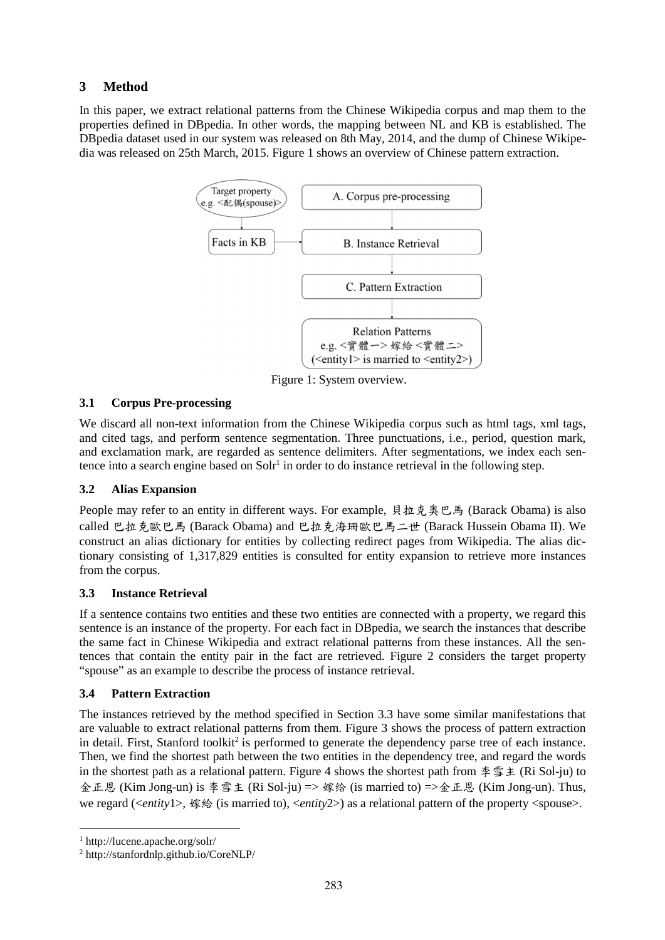# **3 Method**

In this paper, we extract relational patterns from the Chinese Wikipedia corpus and map them to the properties defined in DBpedia. In other words, the mapping between NL and KB is established. The DBpedia dataset used in our system was released on 8th May, 2014, and the dump of Chinese Wikipedia was released on 25th March, 2015. Figure 1 shows an overview of Chinese pattern extraction.



Figure 1: System overview.

# **3.1 Corpus Pre-processing**

We discard all non-text information from the Chinese Wikipedia corpus such as html tags, xml tags, and cited tags, and perform sentence segmentation. Three punctuations, i.e., period, question mark, and exclamation mark, are regarded as sentence delimiters. After segmentations, we index each sentence into a search engine based on  $S \text{olr}^1$  in order to do instance retrieval in the following step.

# **3.2 Alias Expansion**

People may refer to an entity in different ways. For example, 貝拉克奧巴馬 (Barack Obama) is also called 巴拉克歐巴馬 (Barack Obama) and 巴拉克海珊歐巴馬二世 (Barack Hussein Obama II). We construct an alias dictionary for entities by collecting redirect pages from Wikipedia. The alias dictionary consisting of 1,317,829 entities is consulted for entity expansion to retrieve more instances from the corpus.

# **3.3 Instance Retrieval**

If a sentence contains two entities and these two entities are connected with a property, we regard this sentence is an instance of the property. For each fact in DBpedia, we search the instances that describe the same fact in Chinese Wikipedia and extract relational patterns from these instances. All the sentences that contain the entity pair in the fact are retrieved. Figure 2 considers the target property "spouse" as an example to describe the process of instance retrieval.

# **3.4 Pattern Extraction**

The instances retrieved by the method specified in Section 3.3 have some similar manifestations that are valuable to extract relational patterns from them. Figure 3 shows the process of pattern extraction in detail. First, Stanford toolkit<sup>2</sup> is performed to generate the dependency parse tree of each instance. Then, we find the shortest path between the two entities in the dependency tree, and regard the words in the shortest path as a relational pattern. Figure 4 shows the shortest path from 李雪主 (Ri Sol-ju) to 金正恩 (Kim Jong-un) is 李雪主 (Ri Sol-ju) => 嫁给 (is married to) =>金正恩 (Kim Jong-un). Thus, we regard (<*entity*1>, 嫁給 (is married to), <*entity*2>) as a relational pattern of the property <spouse>.

<sup>1</sup> http://lucene.apache.org/solr/

<sup>2</sup> http://stanfordnlp.github.io/CoreNLP/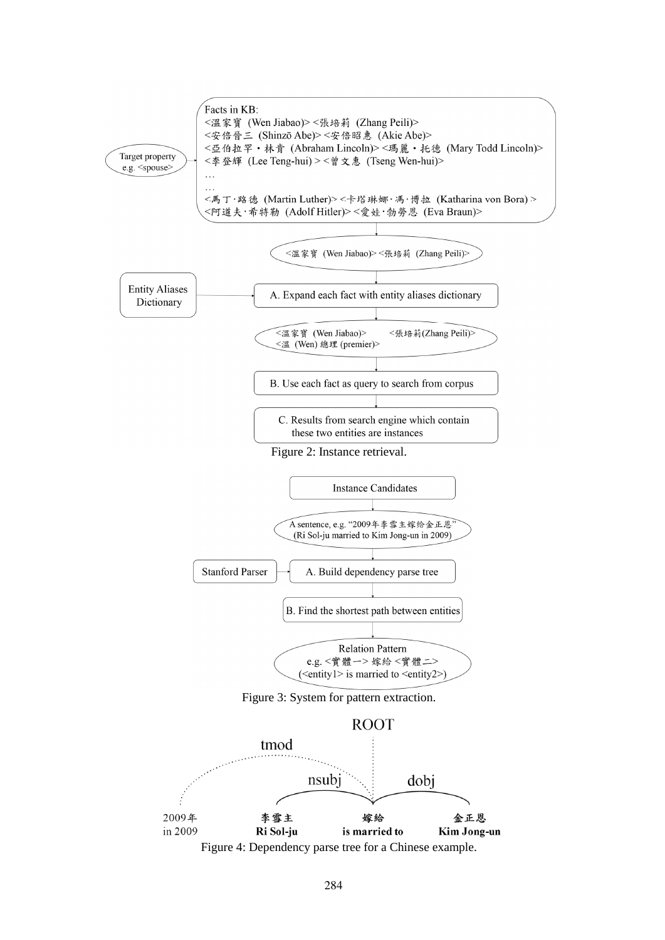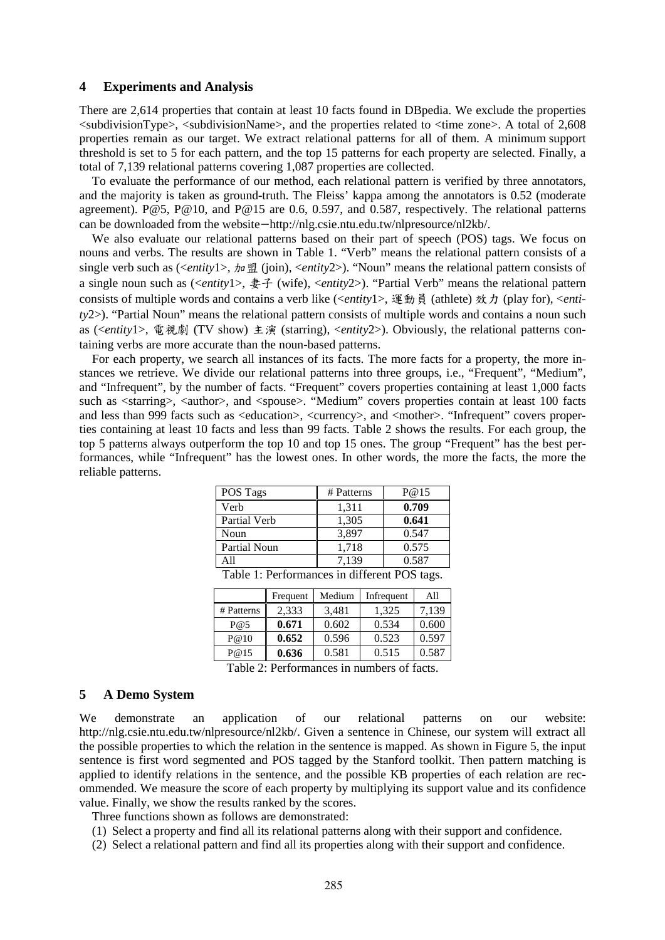#### **4 Experiments and Analysis**

There are 2,614 properties that contain at least 10 facts found in DBpedia. We exclude the properties  $\le$ subdivisionType $\ge$ ,  $\le$ subdivisionName $\ge$ , and the properties related to  $\le$ time zone $\ge$ . A total of 2,608 properties remain as our target. We extract relational patterns for all of them. A minimum support threshold is set to 5 for each pattern, and the top 15 patterns for each property are selected. Finally, a total of 7,139 relational patterns covering 1,087 properties are collected.

To evaluate the performance of our method, each relational pattern is verified by three annotators, and the majority is taken as ground-truth. The Fleiss' kappa among the annotators is 0.52 (moderate agreement). P@5, P@10, and P@15 are 0.6, 0.597, and 0.587, respectively. The relational patterns can be downloaded from the website− http://nlg.csie.ntu.edu.tw/nlpresource/nl2kb/.

We also evaluate our relational patterns based on their part of speech (POS) tags. We focus on nouns and verbs. The results are shown in Table 1. "Verb" means the relational pattern consists of a single verb such as (<*entity*1>, 加盟 (join), <*entity*2>). "Noun" means the relational pattern consists of a single noun such as (<*entity*1>, 妻子 (wife), <*entity*2>). "Partial Verb" means the relational pattern consists of multiple words and contains a verb like (<*entity*1>, 運動員 (athlete) 效力 (play for), <*entity*2>). "Partial Noun" means the relational pattern consists of multiple words and contains a noun such as (<*entity*1>, 電視劇 (TV show) 主演 (starring), <*entity*2>). Obviously, the relational patterns containing verbs are more accurate than the noun-based patterns.

For each property, we search all instances of its facts. The more facts for a property, the more instances we retrieve. We divide our relational patterns into three groups, i.e., "Frequent", "Medium", and "Infrequent", by the number of facts. "Frequent" covers properties containing at least 1,000 facts such as <starring>, <author>, and <spouse>. "Medium" covers properties contain at least 100 facts and less than 999 facts such as <education>, <currency>, and <mother>. "Infrequent" covers properties containing at least 10 facts and less than 99 facts. Table 2 shows the results. For each group, the top 5 patterns always outperform the top 10 and top 15 ones. The group "Frequent" has the best performances, while "Infrequent" has the lowest ones. In other words, the more the facts, the more the reliable patterns.

| POS Tags     | # Patterns | P@15  |
|--------------|------------|-------|
| Verb         | 1,311      | 0.709 |
| Partial Verb | 1,305      | 0.641 |
| Noun         | 3,897      | 0.547 |
| Partial Noun | 1,718      | 0.575 |
| A 11         | 7,139      | 0.587 |

| Table 1: Performances in different POS tags. |  |  |  |  |
|----------------------------------------------|--|--|--|--|
|----------------------------------------------|--|--|--|--|

|            | Frequent | Medium | Infrequent | All   |
|------------|----------|--------|------------|-------|
| # Patterns | 2,333    | 3,481  | 1,325      | 7,139 |
| P@5        | 0.671    | 0.602  | 0.534      | 0.600 |
| P@10       | 0.652    | 0.596  | 0.523      | 0.597 |
| P@15       | 0.636    | 0.581  | 0.515      | 0.587 |

Table 2: Performances in numbers of facts.

#### **5 A Demo System**

We demonstrate an application of our relational patterns on our website: http://nlg.csie.ntu.edu.tw/nlpresource/nl2kb/. Given a sentence in Chinese, our system will extract all the possible properties to which the relation in the sentence is mapped. As shown in Figure 5, the input sentence is first word segmented and POS tagged by the Stanford toolkit. Then pattern matching is applied to identify relations in the sentence, and the possible KB properties of each relation are recommended. We measure the score of each property by multiplying its support value and its confidence value. Finally, we show the results ranked by the scores.

Three functions shown as follows are demonstrated:

- (1) Select a property and find all its relational patterns along with their support and confidence.
- (2) Select a relational pattern and find all its properties along with their support and confidence.